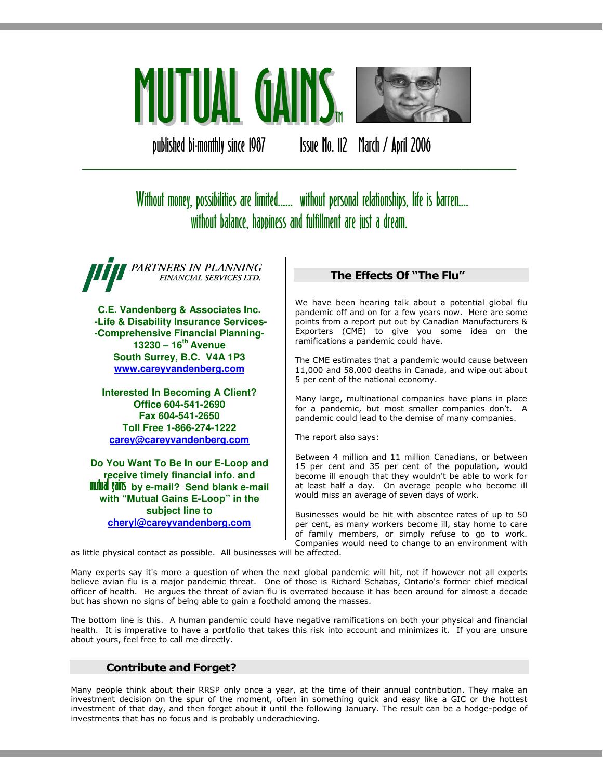

published bi-monthly since 1987 Issue No. 112 March / April 2006

# Without money, possibilities are limited...... without personal relationships, life is barren.... without balance, happiness and fulfillment are just a dream.

\_\_\_\_\_\_\_\_\_\_\_\_\_\_\_\_\_\_\_\_\_\_\_\_\_\_\_\_\_\_\_\_\_\_\_\_\_\_\_\_\_\_\_\_\_\_\_\_\_\_\_\_\_\_\_\_\_\_\_\_\_\_\_

PARTNERS IN PLANNING FINANCIAL SERVICES LTD.

**C.E. Vandenberg & Associates Inc. -Life & Disability Insurance Services- -Comprehensive Financial Planning-13230 – 16th Avenue South Surrey, B.C. V4A 1P3 www.careyvandenberg.com**

**Interested In Becoming A Client? Office 604-541-2690 Fax 604-541-2650 Toll Free 1-866-274-1222 carey@careyvandenberg.com**

**Do You Want To Be In our E-Loop and receive timely financial info. and<br><b>mutual gains** by e-mail? Send blank e-mail **with "Mutual Gains E-Loop" in the subject line to cheryl@careyvandenberg.com**

## The Effects Of "The Flu"

We have been hearing talk about a potential global flu pandemic off and on for a few years now. Here are some points from a report put out by Canadian Manufacturers & Exporters (CME) to give you some idea on the ramifications a pandemic could have.

The CME estimates that a pandemic would cause between 11,000 and 58,000 deaths in Canada, and wipe out about 5 per cent of the national economy.

Many large, multinational companies have plans in place for a pandemic, but most smaller companies don't. A pandemic could lead to the demise of many companies.

The report also says:

Between 4 million and 11 million Canadians, or between 15 per cent and 35 per cent of the population, would become ill enough that they wouldn't be able to work for at least half a day. On average people who become ill would miss an average of seven days of work.

Businesses would be hit with absentee rates of up to 50 per cent, as many workers become ill, stay home to care of family members, or simply refuse to go to work. Companies would need to change to an environment with

as little physical contact as possible. All businesses will be affected.

Many experts say it's more a question of when the next global pandemic will hit, not if however not all experts believe avian flu is a major pandemic threat. One of those is Richard Schabas, Ontario's former chief medical officer of health. He argues the threat of avian flu is overrated because it has been around for almost a decade but has shown no signs of being able to gain a foothold among the masses.

The bottom line is this. A human pandemic could have negative ramifications on both your physical and financial health. It is imperative to have a portfolio that takes this risk into account and minimizes it. If you are unsure about yours, feel free to call me directly.

# Contribute and Forget?

Many people think about their RRSP only once a year, at the time of their annual contribution. They make an investment decision on the spur of the moment, often in something quick and easy like a GIC or the hottest investment of that day, and then forget about it until the following January. The result can be a hodge-podge of investments that has no focus and is probably underachieving.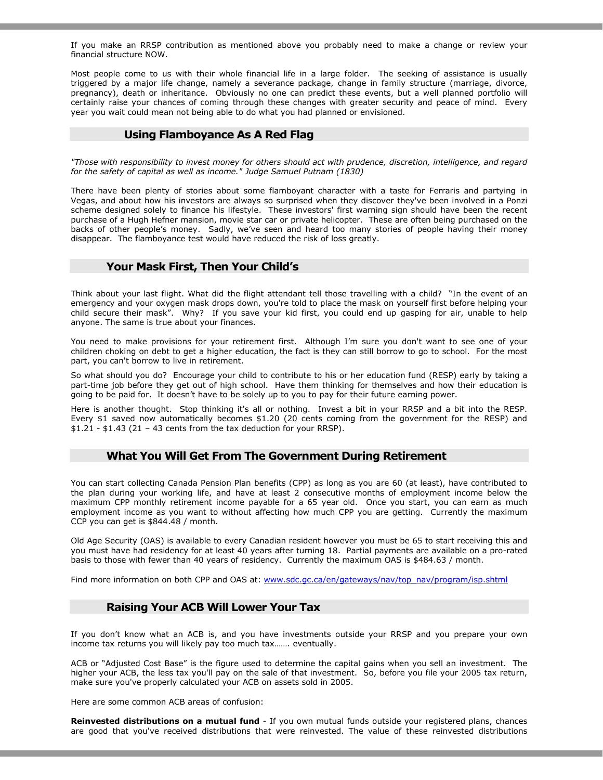If you make an RRSP contribution as mentioned above you probably need to make a change or review your financial structure NOW.

Most people come to us with their whole financial life in a large folder. The seeking of assistance is usually triggered by a major life change, namely a severance package, change in family structure (marriage, divorce, pregnancy), death or inheritance. Obviously no one can predict these events, but a well planned portfolio will certainly raise your chances of coming through these changes with greater security and peace of mind. Every year you wait could mean not being able to do what you had planned or envisioned.

## Using Flamboyance As A Red Flag

"Those with responsibility to invest money for others should act with prudence, discretion, intelligence, and regard for the safety of capital as well as income." Judge Samuel Putnam (1830)

There have been plenty of stories about some flamboyant character with a taste for Ferraris and partying in Vegas, and about how his investors are always so surprised when they discover they've been involved in a Ponzi scheme designed solely to finance his lifestyle. These investors' first warning sign should have been the recent purchase of a Hugh Hefner mansion, movie star car or private helicopter. These are often being purchased on the backs of other people's money. Sadly, we've seen and heard too many stories of people having their money disappear. The flamboyance test would have reduced the risk of loss greatly.

### Your Mask First, Then Your Child's

Think about your last flight. What did the flight attendant tell those travelling with a child? "In the event of an emergency and your oxygen mask drops down, you're told to place the mask on yourself first before helping your child secure their mask". Why? If you save your kid first, you could end up gasping for air, unable to help anyone. The same is true about your finances.

You need to make provisions for your retirement first. Although I'm sure you don't want to see one of your children choking on debt to get a higher education, the fact is they can still borrow to go to school. For the most part, you can't borrow to live in retirement.

So what should you do? Encourage your child to contribute to his or her education fund (RESP) early by taking a part-time job before they get out of high school. Have them thinking for themselves and how their education is going to be paid for. It doesn't have to be solely up to you to pay for their future earning power.

Here is another thought. Stop thinking it's all or nothing. Invest a bit in your RRSP and a bit into the RESP. Every \$1 saved now automatically becomes \$1.20 (20 cents coming from the government for the RESP) and  $$1.21 - $1.43$  (21 - 43 cents from the tax deduction for your RRSP).

#### What You Will Get From The Government During Retirement

You can start collecting Canada Pension Plan benefits (CPP) as long as you are 60 (at least), have contributed to the plan during your working life, and have at least 2 consecutive months of employment income below the maximum CPP monthly retirement income payable for a 65 year old. Once you start, you can earn as much employment income as you want to without affecting how much CPP you are getting. Currently the maximum CCP you can get is \$844.48 / month.

Old Age Security (OAS) is available to every Canadian resident however you must be 65 to start receiving this and you must have had residency for at least 40 years after turning 18. Partial payments are available on a pro-rated basis to those with fewer than 40 years of residency. Currently the maximum OAS is \$484.63 / month.

Find more information on both CPP and OAS at: www.sdc.gc.ca/en/gateways/nav/top\_nav/program/isp.shtml

## Raising Your ACB Will Lower Your Tax

If you don't know what an ACB is, and you have investments outside your RRSP and you prepare your own income tax returns you will likely pay too much tax……. eventually.

ACB or "Adjusted Cost Base" is the figure used to determine the capital gains when you sell an investment. The higher your ACB, the less tax you'll pay on the sale of that investment. So, before you file your 2005 tax return, make sure you've properly calculated your ACB on assets sold in 2005.

Here are some common ACB areas of confusion:

Reinvested distributions on a mutual fund - If you own mutual funds outside your registered plans, chances are good that you've received distributions that were reinvested. The value of these reinvested distributions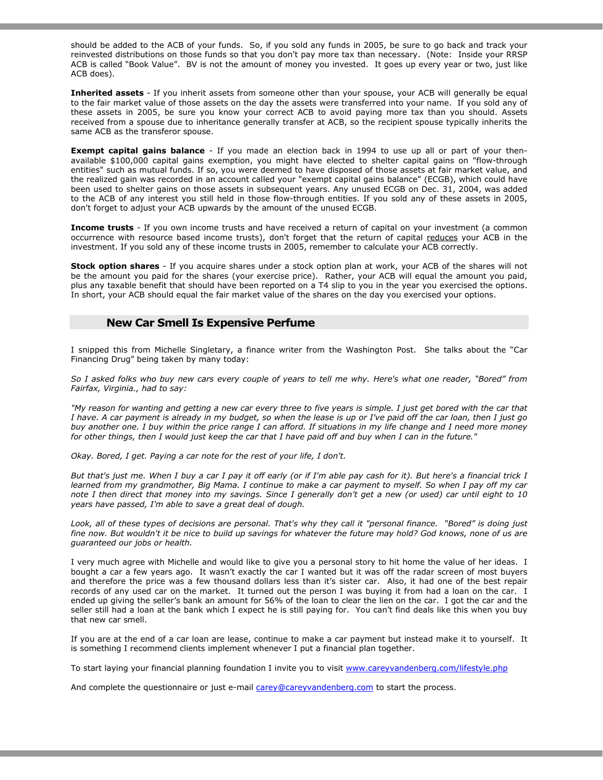should be added to the ACB of your funds. So, if you sold any funds in 2005, be sure to go back and track your reinvested distributions on those funds so that you don't pay more tax than necessary. (Note: Inside your RRSP ACB is called "Book Value". BV is not the amount of money you invested. It goes up every year or two, just like ACB does).

Inherited assets - If you inherit assets from someone other than your spouse, your ACB will generally be equal to the fair market value of those assets on the day the assets were transferred into your name. If you sold any of these assets in 2005, be sure you know your correct ACB to avoid paying more tax than you should. Assets received from a spouse due to inheritance generally transfer at ACB, so the recipient spouse typically inherits the same ACB as the transferor spouse.

**Exempt capital gains balance** - If you made an election back in 1994 to use up all or part of your thenavailable \$100,000 capital gains exemption, you might have elected to shelter capital gains on "flow-through entities" such as mutual funds. If so, you were deemed to have disposed of those assets at fair market value, and the realized gain was recorded in an account called your "exempt capital gains balance" (ECGB), which could have been used to shelter gains on those assets in subsequent years. Any unused ECGB on Dec. 31, 2004, was added to the ACB of any interest you still held in those flow-through entities. If you sold any of these assets in 2005, don't forget to adjust your ACB upwards by the amount of the unused ECGB.

**Income trusts** - If you own income trusts and have received a return of capital on your investment (a common occurrence with resource based income trusts), don't forget that the return of capital reduces your ACB in the investment. If you sold any of these income trusts in 2005, remember to calculate your ACB correctly.

Stock option shares - If you acquire shares under a stock option plan at work, your ACB of the shares will not be the amount you paid for the shares (your exercise price). Rather, your ACB will equal the amount you paid, plus any taxable benefit that should have been reported on a T4 slip to you in the year you exercised the options. In short, your ACB should equal the fair market value of the shares on the day you exercised your options.

#### New Car Smell Is Expensive Perfume

I snipped this from Michelle Singletary, a finance writer from the Washington Post. She talks about the "Car Financing Drug" being taken by many today:

So I asked folks who buy new cars every couple of years to tell me why. Here's what one reader, "Bored" from Fairfax, Virginia., had to say:

"My reason for wanting and getting a new car every three to five years is simple. I just get bored with the car that I have. A car payment is already in my budget, so when the lease is up or I've paid off the car loan, then I just go buy another one. I buy within the price range I can afford. If situations in my life change and I need more money for other things, then I would just keep the car that I have paid off and buy when I can in the future."

Okay. Bored, I get. Paying a car note for the rest of your life, I don't.

But that's just me. When I buy a car I pay it off early (or if I'm able pay cash for it). But here's a financial trick I learned from my grandmother, Big Mama. I continue to make a car payment to myself. So when I pay off my car note I then direct that money into my savings. Since I generally don't get a new (or used) car until eight to 10 years have passed, I'm able to save a great deal of dough.

Look, all of these types of decisions are personal. That's why they call it "personal finance. "Bored" is doing just fine now. But wouldn't it be nice to build up savings for whatever the future may hold? God knows, none of us are guaranteed our jobs or health.

I very much agree with Michelle and would like to give you a personal story to hit home the value of her ideas. I bought a car a few years ago. It wasn't exactly the car I wanted but it was off the radar screen of most buyers and therefore the price was a few thousand dollars less than it's sister car. Also, it had one of the best repair records of any used car on the market. It turned out the person I was buying it from had a loan on the car. I ended up giving the seller's bank an amount for 56% of the loan to clear the lien on the car. I got the car and the seller still had a loan at the bank which I expect he is still paying for. You can't find deals like this when you buy that new car smell.

If you are at the end of a car loan are lease, continue to make a car payment but instead make it to yourself. It is something I recommend clients implement whenever I put a financial plan together.

To start laying your financial planning foundation I invite you to visit www.careyvandenberg.com/lifestyle.php

And complete the questionnaire or just e-mail carey@careyvandenberg.com to start the process.